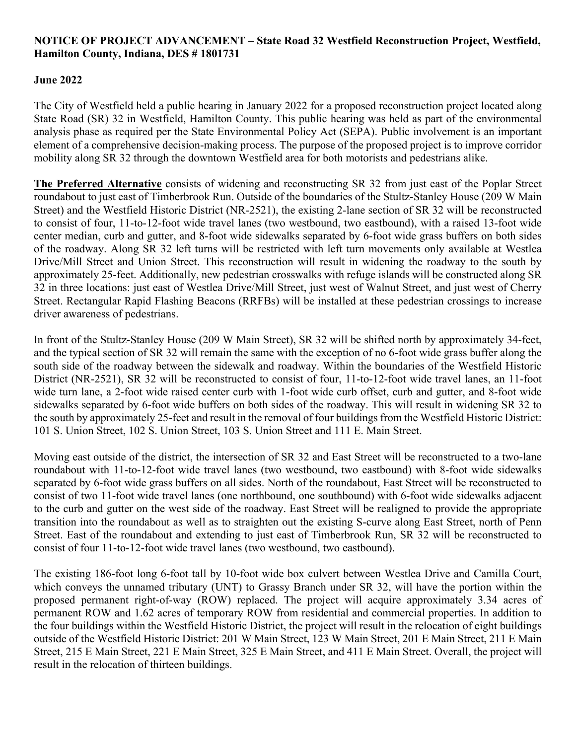## **NOTICE OF PROJECT ADVANCEMENT – State Road 32 Westfield Reconstruction Project, Westfield, Hamilton County, Indiana, DES # 1801731**

## **June 2022**

The City of Westfield held a public hearing in January 2022 for a proposed reconstruction project located along State Road (SR) 32 in Westfield, Hamilton County. This public hearing was held as part of the environmental analysis phase as required per the State Environmental Policy Act (SEPA). Public involvement is an important element of a comprehensive decision-making process. The purpose of the proposed project is to improve corridor mobility along SR 32 through the downtown Westfield area for both motorists and pedestrians alike.

**The Preferred Alternative** consists of widening and reconstructing SR 32 from just east of the Poplar Street roundabout to just east of Timberbrook Run. Outside of the boundaries of the Stultz-Stanley House (209 W Main Street) and the Westfield Historic District (NR-2521), the existing 2‐lane section of SR 32 will be reconstructed to consist of four, 11‐to-12-foot wide travel lanes (two westbound, two eastbound), with a raised 13‐foot wide center median, curb and gutter, and 8‐foot wide sidewalks separated by 6‐foot wide grass buffers on both sides of the roadway. Along SR 32 left turns will be restricted with left turn movements only available at Westlea Drive/Mill Street and Union Street. This reconstruction will result in widening the roadway to the south by approximately 25-feet. Additionally, new pedestrian crosswalks with refuge islands will be constructed along SR 32 in three locations: just east of Westlea Drive/Mill Street, just west of Walnut Street, and just west of Cherry Street. Rectangular Rapid Flashing Beacons (RRFBs) will be installed at these pedestrian crossings to increase driver awareness of pedestrians.

In front of the Stultz-Stanley House (209 W Main Street), SR 32 will be shifted north by approximately 34-feet, and the typical section of SR 32 will remain the same with the exception of no 6‐foot wide grass buffer along the south side of the roadway between the sidewalk and roadway. Within the boundaries of the Westfield Historic District (NR-2521), SR 32 will be reconstructed to consist of four, 11‐to-12-foot wide travel lanes, an 11‐foot wide turn lane, a 2-foot wide raised center curb with 1-foot wide curb offset, curb and gutter, and 8-foot wide sidewalks separated by 6‐foot wide buffers on both sides of the roadway. This will result in widening SR 32 to the south by approximately 25-feet and result in the removal of four buildings from the Westfield Historic District: 101 S. Union Street, 102 S. Union Street, 103 S. Union Street and 111 E. Main Street.

Moving east outside of the district, the intersection of SR 32 and East Street will be reconstructed to a two-lane roundabout with 11‐to-12-foot wide travel lanes (two westbound, two eastbound) with 8‐foot wide sidewalks separated by 6‐foot wide grass buffers on all sides. North of the roundabout, East Street will be reconstructed to consist of two 11‐foot wide travel lanes (one northbound, one southbound) with 6‐foot wide sidewalks adjacent to the curb and gutter on the west side of the roadway. East Street will be realigned to provide the appropriate transition into the roundabout as well as to straighten out the existing S‐curve along East Street, north of Penn Street. East of the roundabout and extending to just east of Timberbrook Run, SR 32 will be reconstructed to consist of four 11‐to-12-foot wide travel lanes (two westbound, two eastbound).

The existing 186-foot long 6-foot tall by 10-foot wide box culvert between Westlea Drive and Camilla Court, which conveys the unnamed tributary (UNT) to Grassy Branch under SR 32, will have the portion within the proposed permanent right-of-way (ROW) replaced. The project will acquire approximately 3.34 acres of permanent ROW and 1.62 acres of temporary ROW from residential and commercial properties. In addition to the four buildings within the Westfield Historic District, the project will result in the relocation of eight buildings outside of the Westfield Historic District: 201 W Main Street, 123 W Main Street, 201 E Main Street, 211 E Main Street, 215 E Main Street, 221 E Main Street, 325 E Main Street, and 411 E Main Street. Overall, the project will result in the relocation of thirteen buildings.